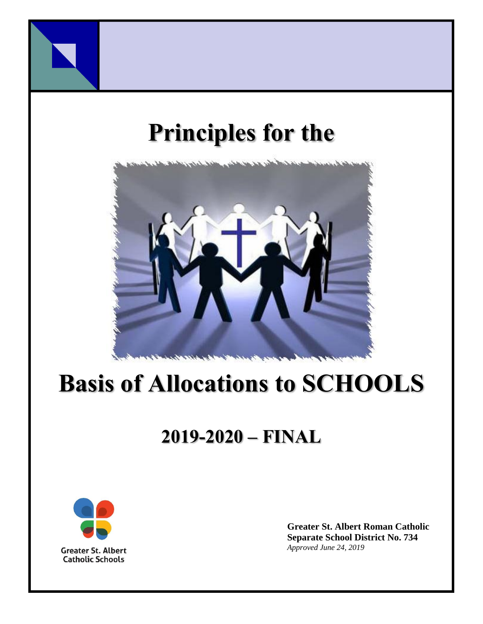

# **Principles for the**



# **Basis of Allocations to SCHOOLS**

# **2019-2020 – FINAL**



**Greater St. Albert Roman Catholic Separate School District No. 734** *Approved June 24, 2019*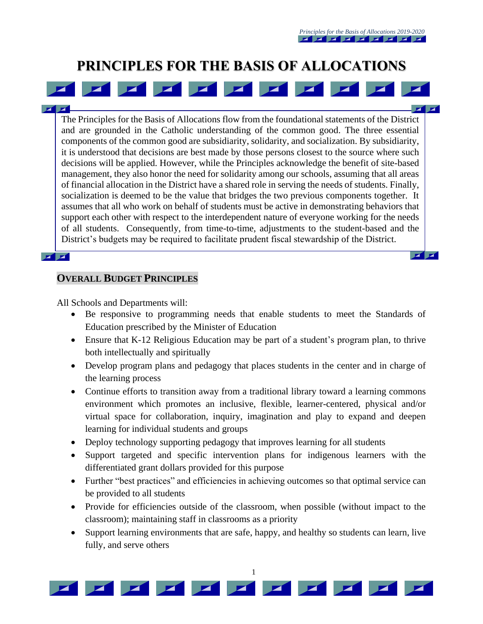$\mathbf{z}$   $\mathbf{z}$ 

 $\mathbf{Z}$   $\mathbf{Z}$ 

# **PRINCIPLES FOR THE BASIS OF ALLOCATIONS**

 $\mathbf{z}$ 

The Principles for the Basis of Allocations flow from the foundational statements of the District and are grounded in the Catholic understanding of the common good. The three essential components of the common good are subsidiarity, solidarity, and socialization. By subsidiarity, it is understood that decisions are best made by those persons closest to the source where such decisions will be applied. However, while the Principles acknowledge the benefit of site-based management, they also honor the need for solidarity among our schools, assuming that all areas of financial allocation in the District have a shared role in serving the needs of students. Finally, socialization is deemed to be the value that bridges the two previous components together. It assumes that all who work on behalf of students must be active in demonstrating behaviors that support each other with respect to the interdependent nature of everyone working for the needs of all students. Consequently, from time-to-time, adjustments to the student-based and the District's budgets may be required to facilitate prudent fiscal stewardship of the District.

#### $\mathbf{z}$   $\mathbf{z}$

#### **OVERALL BUDGET PRINCIPLES**

All Schools and Departments will:

- Be responsive to programming needs that enable students to meet the Standards of Education prescribed by the Minister of Education
- Ensure that K-12 Religious Education may be part of a student's program plan, to thrive both intellectually and spiritually
- Develop program plans and pedagogy that places students in the center and in charge of the learning process
- Continue efforts to transition away from a traditional library toward a learning commons environment which promotes an inclusive, flexible, learner-centered, physical and/or virtual space for collaboration, inquiry, imagination and play to expand and deepen learning for individual students and groups
- Deploy technology supporting pedagogy that improves learning for all students
- Support targeted and specific intervention plans for indigenous learners with the differentiated grant dollars provided for this purpose
- Further "best practices" and efficiencies in achieving outcomes so that optimal service can be provided to all students
- Provide for efficiencies outside of the classroom, when possible (without impact to the classroom); maintaining staff in classrooms as a priority
- Support learning environments that are safe, happy, and healthy so students can learn, live fully, and serve others

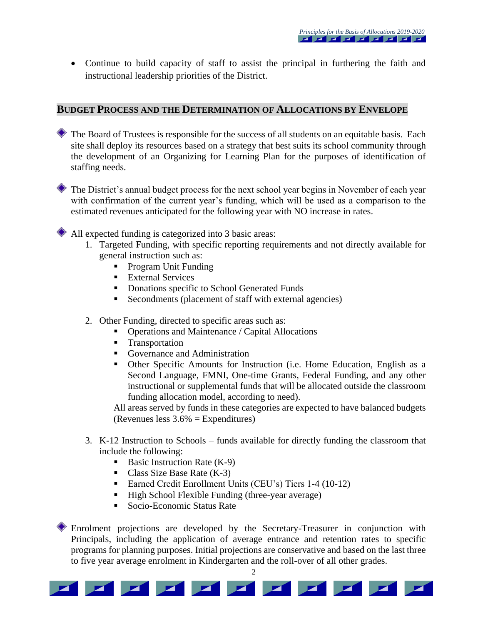• Continue to build capacity of staff to assist the principal in furthering the faith and instructional leadership priorities of the District.

#### **BUDGET PROCESS AND THE DETERMINATION OF ALLOCATIONS BY ENVELOPE**

- The Board of Trustees is responsible for the success of all students on an equitable basis. Each site shall deploy its resources based on a strategy that best suits its school community through the development of an Organizing for Learning Plan for the purposes of identification of staffing needs.
- The District's annual budget process for the next school year begins in November of each year with confirmation of the current year's funding, which will be used as a comparison to the estimated revenues anticipated for the following year with NO increase in rates.

All expected funding is categorized into 3 basic areas:

- 1. Targeted Funding, with specific reporting requirements and not directly available for general instruction such as:
	- Program Unit Funding
	- **External Services**
	- **•** Donations specific to School Generated Funds
	- Secondments (placement of staff with external agencies)
- 2. Other Funding, directed to specific areas such as:
	- Operations and Maintenance / Capital Allocations
	- **Transportation**
	- Governance and Administration
	- Other Specific Amounts for Instruction (i.e. Home Education, English as a Second Language, FMNI, One-time Grants, Federal Funding, and any other instructional or supplemental funds that will be allocated outside the classroom funding allocation model, according to need).

All areas served by funds in these categories are expected to have balanced budgets (Revenues less 3.6% = Expenditures)

- 3. K-12 Instruction to Schools funds available for directly funding the classroom that include the following:
	- Basic Instruction Rate  $(K-9)$
	- Class Size Base Rate  $(K-3)$
	- Earned Credit Enrollment Units (CEU's) Tiers 1-4 (10-12)
	- High School Flexible Funding (three-year average)
	- Socio-Economic Status Rate

Enrolment projections are developed by the Secretary-Treasurer in conjunction with Principals, including the application of average entrance and retention rates to specific programs for planning purposes. Initial projections are conservative and based on the last three to five year average enrolment in Kindergarten and the roll-over of all other grades.

2

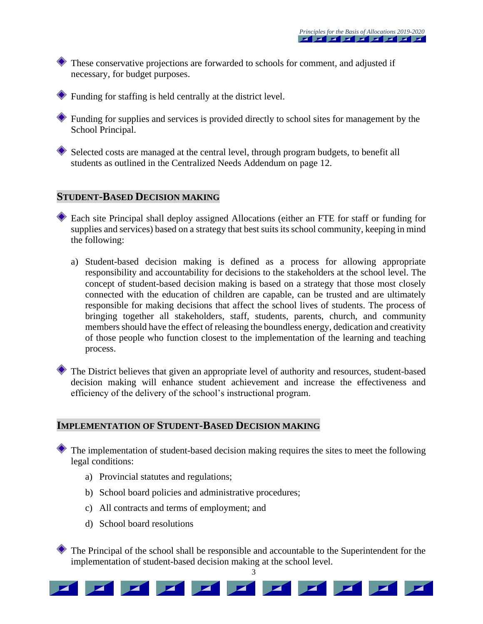These conservative projections are forwarded to schools for comment, and adjusted if necessary, for budget purposes.

Funding for staffing is held centrally at the district level.

Funding for supplies and services is provided directly to school sites for management by the School Principal.

Selected costs are managed at the central level, through program budgets, to benefit all students as outlined in the Centralized Needs Addendum on page 12.

#### **STUDENT-BASED DECISION MAKING**

Each site Principal shall deploy assigned Allocations (either an FTE for staff or funding for supplies and services) based on a strategy that best suits its school community, keeping in mind the following:

a) Student-based decision making is defined as a process for allowing appropriate responsibility and accountability for decisions to the stakeholders at the school level. The concept of student-based decision making is based on a strategy that those most closely connected with the education of children are capable, can be trusted and are ultimately responsible for making decisions that affect the school lives of students. The process of bringing together all stakeholders, staff, students, parents, church, and community members should have the effect of releasing the boundless energy, dedication and creativity of those people who function closest to the implementation of the learning and teaching process.

The District believes that given an appropriate level of authority and resources, student-based decision making will enhance student achievement and increase the effectiveness and efficiency of the delivery of the school's instructional program.

#### **IMPLEMENTATION OF STUDENT-BASED DECISION MAKING**

The implementation of student-based decision making requires the sites to meet the following legal conditions:

- a) Provincial statutes and regulations;
- b) School board policies and administrative procedures;
- c) All contracts and terms of employment; and
- d) School board resolutions

The Principal of the school shall be responsible and accountable to the Superintendent for the implementation of student-based decision making at the school level.

3

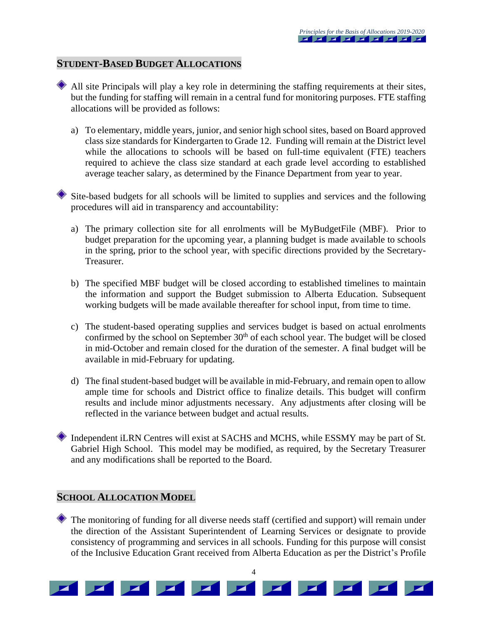#### **STUDENT-BASED BUDGET ALLOCATIONS**

- All site Principals will play a key role in determining the staffing requirements at their sites, but the funding for staffing will remain in a central fund for monitoring purposes. FTE staffing allocations will be provided as follows:
	- a) To elementary, middle years, junior, and senior high school sites, based on Board approved class size standards for Kindergarten to Grade 12. Funding will remain at the District level while the allocations to schools will be based on full-time equivalent (FTE) teachers required to achieve the class size standard at each grade level according to established average teacher salary, as determined by the Finance Department from year to year.

Site-based budgets for all schools will be limited to supplies and services and the following procedures will aid in transparency and accountability:

- a) The primary collection site for all enrolments will be MyBudgetFile (MBF). Prior to budget preparation for the upcoming year, a planning budget is made available to schools in the spring, prior to the school year, with specific directions provided by the Secretary-Treasurer.
- b) The specified MBF budget will be closed according to established timelines to maintain the information and support the Budget submission to Alberta Education. Subsequent working budgets will be made available thereafter for school input, from time to time.
- c) The student-based operating supplies and services budget is based on actual enrolments confirmed by the school on September  $30<sup>th</sup>$  of each school year. The budget will be closed in mid-October and remain closed for the duration of the semester. A final budget will be available in mid-February for updating.
- d) The final student-based budget will be available in mid-February, and remain open to allow ample time for schools and District office to finalize details. This budget will confirm results and include minor adjustments necessary. Any adjustments after closing will be reflected in the variance between budget and actual results.
- Independent iLRN Centres will exist at SACHS and MCHS, while ESSMY may be part of St. Gabriel High School. This model may be modified, as required, by the Secretary Treasurer and any modifications shall be reported to the Board.

#### **SCHOOL ALLOCATION MODEL**

The monitoring of funding for all diverse needs staff (certified and support) will remain under the direction of the Assistant Superintendent of Learning Services or designate to provide consistency of programming and services in all schools. Funding for this purpose will consist of the Inclusive Education Grant received from Alberta Education as per the District's Profile

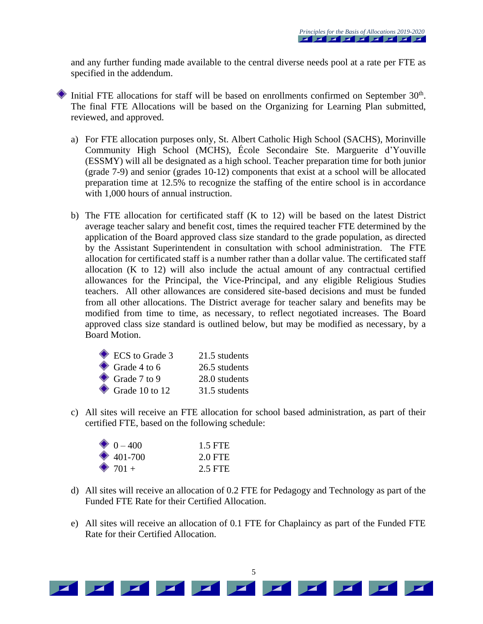and any further funding made available to the central diverse needs pool at a rate per FTE as specified in the addendum.

- Initial FTE allocations for staff will be based on enrollments confirmed on September 30<sup>th</sup>. The final FTE Allocations will be based on the Organizing for Learning Plan submitted, reviewed, and approved.
	- a) For FTE allocation purposes only, St. Albert Catholic High School (SACHS), Morinville Community High School (MCHS), École Secondaire Ste. Marguerite d'Youville (ESSMY) will all be designated as a high school. Teacher preparation time for both junior (grade 7-9) and senior (grades 10-12) components that exist at a school will be allocated preparation time at 12.5% to recognize the staffing of the entire school is in accordance with 1,000 hours of annual instruction.
	- b) The FTE allocation for certificated staff (K to 12) will be based on the latest District average teacher salary and benefit cost, times the required teacher FTE determined by the application of the Board approved class size standard to the grade population, as directed by the Assistant Superintendent in consultation with school administration. The FTE allocation for certificated staff is a number rather than a dollar value. The certificated staff allocation (K to 12) will also include the actual amount of any contractual certified allowances for the Principal, the Vice-Principal, and any eligible Religious Studies teachers. All other allowances are considered site-based decisions and must be funded from all other allocations. The District average for teacher salary and benefits may be modified from time to time, as necessary, to reflect negotiated increases. The Board approved class size standard is outlined below, but may be modified as necessary, by a Board Motion.

| ECS to Grade 3           | 21.5 students |
|--------------------------|---------------|
| $\bullet$ Grade 4 to 6   | 26.5 students |
| $\bullet$ Grade 7 to 9   | 28.0 students |
| $\bullet$ Grade 10 to 12 | 31.5 students |

c) All sites will receive an FTE allocation for school based administration, as part of their certified FTE, based on the following schedule:

| $\bullet$ 0 – 400 | 1.5 FTE |
|-------------------|---------|
| $\bullet$ 401-700 | 2.0 FTE |
| $\bullet$ 701 +   | 2.5 FTE |

- d) All sites will receive an allocation of 0.2 FTE for Pedagogy and Technology as part of the Funded FTE Rate for their Certified Allocation.
- e) All sites will receive an allocation of 0.1 FTE for Chaplaincy as part of the Funded FTE Rate for their Certified Allocation.

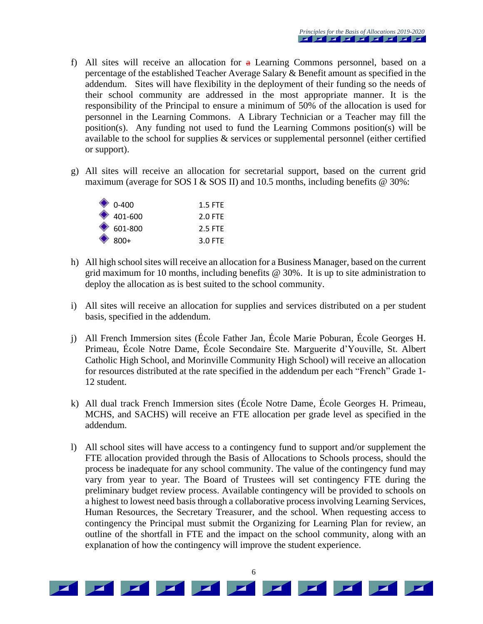- f) All sites will receive an allocation for  $a$  Learning Commons personnel, based on a percentage of the established Teacher Average Salary & Benefit amount as specified in the addendum. Sites will have flexibility in the deployment of their funding so the needs of their school community are addressed in the most appropriate manner. It is the responsibility of the Principal to ensure a minimum of 50% of the allocation is used for personnel in the Learning Commons. A Library Technician or a Teacher may fill the position(s). Any funding not used to fund the Learning Commons position(s) will be available to the school for supplies & services or supplemental personnel (either certified or support).
- g) All sites will receive an allocation for secretarial support, based on the current grid maximum (average for SOS I & SOS II) and 10.5 months, including benefits  $@$  30%:

| $\bullet$ 0-400   | $1.5$ FTF |
|-------------------|-----------|
| $\bullet$ 401-600 | 2.0 FTE   |
| $\bullet$ 601-800 | 2.5 FTF   |
| $\otimes$ 800+    | $3.0$ FTF |

- h) All high school sites will receive an allocation for a Business Manager, based on the current grid maximum for 10 months, including benefits @ 30%. It is up to site administration to deploy the allocation as is best suited to the school community.
- i) All sites will receive an allocation for supplies and services distributed on a per student basis, specified in the addendum.
- j) All French Immersion sites (École Father Jan, École Marie Poburan, École Georges H. Primeau, École Notre Dame, École Secondaire Ste. Marguerite d'Youville, St. Albert Catholic High School, and Morinville Community High School) will receive an allocation for resources distributed at the rate specified in the addendum per each "French" Grade 1- 12 student.
- k) All dual track French Immersion sites (École Notre Dame, École Georges H. Primeau, MCHS, and SACHS) will receive an FTE allocation per grade level as specified in the addendum.
- l) All school sites will have access to a contingency fund to support and/or supplement the FTE allocation provided through the Basis of Allocations to Schools process, should the process be inadequate for any school community. The value of the contingency fund may vary from year to year. The Board of Trustees will set contingency FTE during the preliminary budget review process. Available contingency will be provided to schools on a highest to lowest need basis through a collaborative process involving Learning Services, Human Resources, the Secretary Treasurer, and the school. When requesting access to contingency the Principal must submit the Organizing for Learning Plan for review, an outline of the shortfall in FTE and the impact on the school community, along with an explanation of how the contingency will improve the student experience.

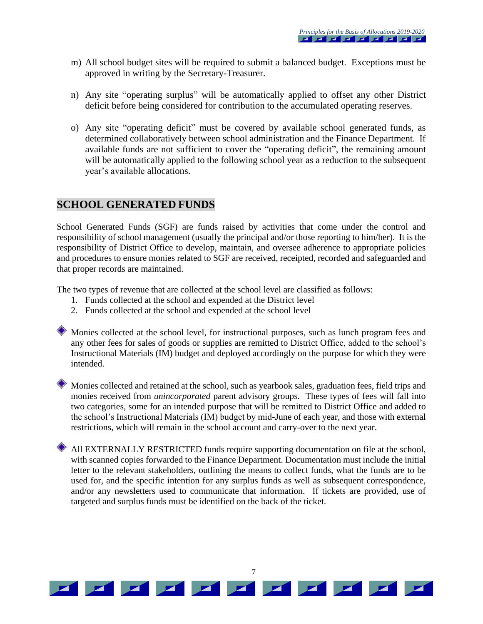- m) All school budget sites will be required to submit a balanced budget. Exceptions must be approved in writing by the Secretary-Treasurer.
- n) Any site "operating surplus" will be automatically applied to offset any other District deficit before being considered for contribution to the accumulated operating reserves.
- o) Any site "operating deficit" must be covered by available school generated funds, as determined collaboratively between school administration and the Finance Department. If available funds are not sufficient to cover the "operating deficit", the remaining amount will be automatically applied to the following school year as a reduction to the subsequent year's available allocations.

### **SCHOOL GENERATED FUNDS**

School Generated Funds (SGF) are funds raised by activities that come under the control and responsibility of school management (usually the principal and/or those reporting to him/her). It is the responsibility of District Office to develop, maintain, and oversee adherence to appropriate policies and procedures to ensure monies related to SGF are received, receipted, recorded and safeguarded and that proper records are maintained.

The two types of revenue that are collected at the school level are classified as follows:

- 1. Funds collected at the school and expended at the District level
- 2. Funds collected at the school and expended at the school level

Monies collected at the school level, for instructional purposes, such as lunch program fees and any other fees for sales of goods or supplies are remitted to District Office, added to the school's Instructional Materials (IM) budget and deployed accordingly on the purpose for which they were intended.

Monies collected and retained at the school, such as yearbook sales, graduation fees, field trips and monies received from *unincorporated* parent advisory groups. These types of fees will fall into two categories, some for an intended purpose that will be remitted to District Office and added to the school's Instructional Materials (IM) budget by mid-June of each year, and those with external restrictions, which will remain in the school account and carry-over to the next year.

All EXTERNALLY RESTRICTED funds require supporting documentation on file at the school, with scanned copies forwarded to the Finance Department. Documentation must include the initial letter to the relevant stakeholders, outlining the means to collect funds, what the funds are to be used for, and the specific intention for any surplus funds as well as subsequent correspondence, and/or any newsletters used to communicate that information. If tickets are provided, use of targeted and surplus funds must be identified on the back of the ticket.

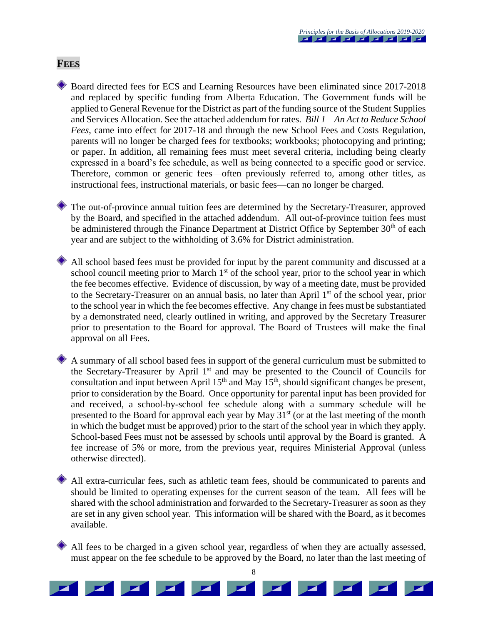#### **FEES**

Board directed fees for ECS and Learning Resources have been eliminated since 2017-2018 and replaced by specific funding from Alberta Education. The Government funds will be applied to General Revenue for the District as part of the funding source of the Student Supplies and Services Allocation. See the attached addendum for rates. *Bill 1 – An Act to Reduce School Fees*, came into effect for 2017-18 and through the new School Fees and Costs Regulation, parents will no longer be charged fees for textbooks; workbooks; photocopying and printing; or paper. In addition, all remaining fees must meet several criteria, including being clearly expressed in a board's fee schedule, as well as being connected to a specific good or service. Therefore, common or generic fees—often previously referred to, among other titles, as instructional fees, instructional materials, or basic fees—can no longer be charged.

The out-of-province annual tuition fees are determined by the Secretary-Treasurer, approved by the Board, and specified in the attached addendum. All out-of-province tuition fees must be administered through the Finance Department at District Office by September 30<sup>th</sup> of each year and are subject to the withholding of 3.6% for District administration.

All school based fees must be provided for input by the parent community and discussed at a school council meeting prior to March 1<sup>st</sup> of the school year, prior to the school year in which the fee becomes effective. Evidence of discussion, by way of a meeting date, must be provided to the Secretary-Treasurer on an annual basis, no later than April 1<sup>st</sup> of the school year, prior to the school year in which the fee becomes effective. Any change in fees must be substantiated by a demonstrated need, clearly outlined in writing, and approved by the Secretary Treasurer prior to presentation to the Board for approval. The Board of Trustees will make the final approval on all Fees.

A summary of all school based fees in support of the general curriculum must be submitted to the Secretary-Treasurer by April 1<sup>st</sup> and may be presented to the Council of Councils for consultation and input between April  $15<sup>th</sup>$  and May  $15<sup>th</sup>$ , should significant changes be present, prior to consideration by the Board. Once opportunity for parental input has been provided for and received, a school-by-school fee schedule along with a summary schedule will be presented to the Board for approval each year by May  $31<sup>st</sup>$  (or at the last meeting of the month in which the budget must be approved) prior to the start of the school year in which they apply. School-based Fees must not be assessed by schools until approval by the Board is granted. A fee increase of 5% or more, from the previous year, requires Ministerial Approval (unless otherwise directed).

All extra-curricular fees, such as athletic team fees, should be communicated to parents and should be limited to operating expenses for the current season of the team. All fees will be shared with the school administration and forwarded to the Secretary-Treasurer as soon as they are set in any given school year. This information will be shared with the Board, as it becomes available.

All fees to be charged in a given school year, regardless of when they are actually assessed, must appear on the fee schedule to be approved by the Board, no later than the last meeting of

8

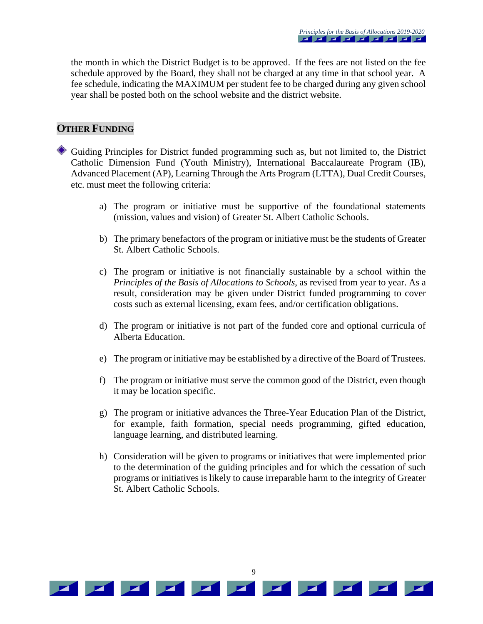the month in which the District Budget is to be approved. If the fees are not listed on the fee schedule approved by the Board, they shall not be charged at any time in that school year. A fee schedule, indicating the MAXIMUM per student fee to be charged during any given school year shall be posted both on the school website and the district website.

#### **OTHER FUNDING**

Guiding Principles for District funded programming such as, but not limited to, the District Catholic Dimension Fund (Youth Ministry), International Baccalaureate Program (IB), Advanced Placement (AP), Learning Through the Arts Program (LTTA), Dual Credit Courses, etc. must meet the following criteria:

- a) The program or initiative must be supportive of the foundational statements (mission, values and vision) of Greater St. Albert Catholic Schools.
- b) The primary benefactors of the program or initiative must be the students of Greater St. Albert Catholic Schools.
- c) The program or initiative is not financially sustainable by a school within the *Principles of the Basis of Allocations to Schools*, as revised from year to year. As a result, consideration may be given under District funded programming to cover costs such as external licensing, exam fees, and/or certification obligations.
- d) The program or initiative is not part of the funded core and optional curricula of Alberta Education.
- e) The program or initiative may be established by a directive of the Board of Trustees.
- f) The program or initiative must serve the common good of the District, even though it may be location specific.
- g) The program or initiative advances the Three-Year Education Plan of the District, for example, faith formation, special needs programming, gifted education, language learning, and distributed learning.
- h) Consideration will be given to programs or initiatives that were implemented prior to the determination of the guiding principles and for which the cessation of such programs or initiatives is likely to cause irreparable harm to the integrity of Greater St. Albert Catholic Schools.

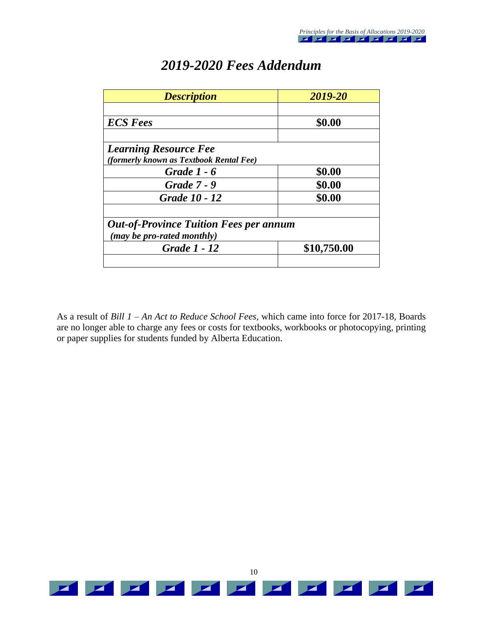| <b>Description</b>                            | 2019-20     |  |
|-----------------------------------------------|-------------|--|
|                                               |             |  |
| <b>ECS</b> Fees                               | \$0.00      |  |
|                                               |             |  |
| <b>Learning Resource Fee</b>                  |             |  |
| (formerly known as Textbook Rental Fee)       |             |  |
| <b>Grade 1 - 6</b>                            | \$0.00      |  |
| <b>Grade 7 - 9</b>                            | \$0.00      |  |
| Grade 10 - 12                                 | \$0.00      |  |
|                                               |             |  |
| <b>Out-of-Province Tuition Fees per annum</b> |             |  |
| (may be pro-rated monthly)                    |             |  |
| <b>Grade 1 - 12</b>                           | \$10,750.00 |  |
|                                               |             |  |

# *2019-2020 Fees Addendum*

As a result of *Bill 1 – An Act to Reduce School Fees,* which came into force for 2017-18*,* Boards are no longer able to charge any fees or costs for textbooks, workbooks or photocopying, printing or paper supplies for students funded by Alberta Education.

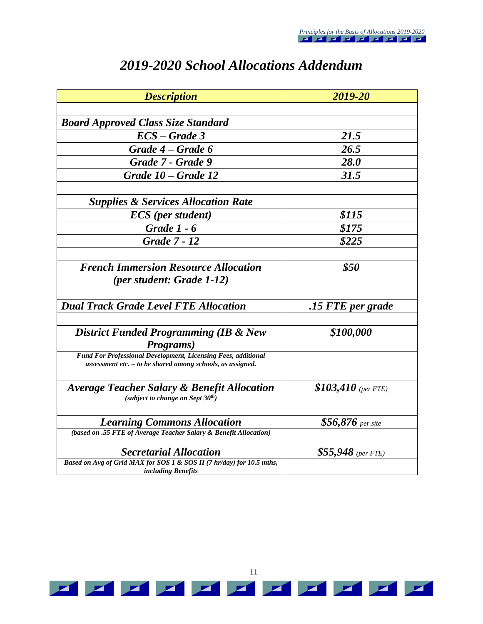| <b>Description</b>                                                                                                              | 2019-20              |  |
|---------------------------------------------------------------------------------------------------------------------------------|----------------------|--|
|                                                                                                                                 |                      |  |
| <b>Board Approved Class Size Standard</b>                                                                                       |                      |  |
| $\textit{ECS}-\textit{Grade}$ 3                                                                                                 | 21.5                 |  |
| Grade 4 – Grade 6                                                                                                               | 26.5                 |  |
| Grade 7 - Grade 9                                                                                                               | <b>28.0</b>          |  |
| Grade 10 – Grade 12                                                                                                             | 31.5                 |  |
| <b>Supplies &amp; Services Allocation Rate</b>                                                                                  |                      |  |
| <b>ECS</b> (per student)                                                                                                        | \$115                |  |
| <b>Grade 1 - 6</b>                                                                                                              | \$175                |  |
| <b>Grade 7 - 12</b>                                                                                                             | \$225                |  |
|                                                                                                                                 |                      |  |
| <b>French Immersion Resource Allocation</b>                                                                                     | \$50                 |  |
| <i>(per student: Grade 1-12)</i>                                                                                                |                      |  |
|                                                                                                                                 |                      |  |
| <b>Dual Track Grade Level FTE Allocation</b>                                                                                    | .15 FTE per grade    |  |
| <b>District Funded Programming (IB &amp; New</b><br>Programs)                                                                   | \$100,000            |  |
| Fund For Professional Development, Licensing Fees, additional<br>$assessment$ etc. $-$ to be shared among schools, as assigned. |                      |  |
| Average Teacher Salary & Benefit Allocation<br>(subject to change on Sept 30th)                                                 | $$103,410$ (per FTE) |  |
| <b>Learning Commons Allocation</b>                                                                                              | $$56,876$ per site   |  |
| (based on .55 FTE of Average Teacher Salary & Benefit Allocation)                                                               |                      |  |
| <b>Secretarial Allocation</b>                                                                                                   | $$55,948$ (per FTE)  |  |
| Based on Avg of Grid MAX for SOS 1 & SOS II (7 hr/day) for 10.5 mths,<br>including Benefits                                     |                      |  |

# *2019-2020 School Allocations Addendum*